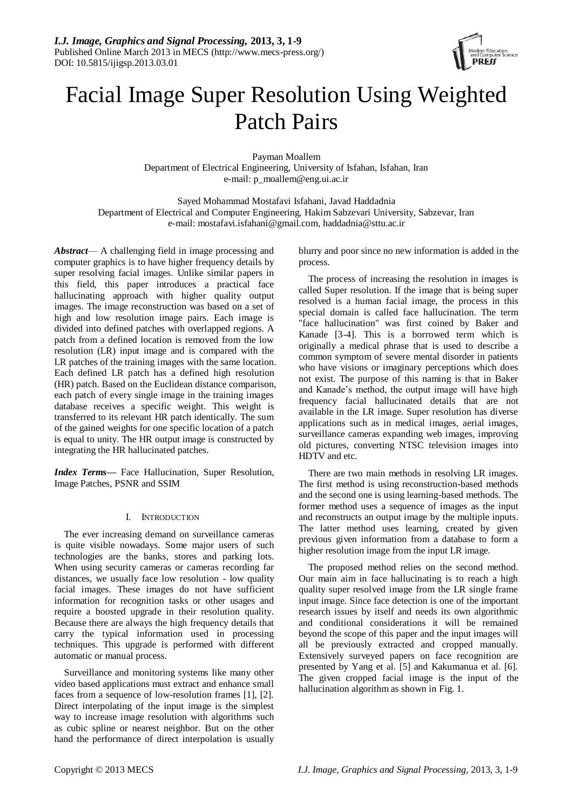

# Facial Image Super Resolution Using Weighted Patch Pairs

Payman Moallem Department of Electrical Engineering, University of Isfahan, Isfahan, Iran e-mail: p\_moallem@eng.ui.ac.ir

Sayed Mohammad Mostafavi Isfahani, Javad Haddadnia Department of Electrical and Computer Engineering, Hakim Sabzevari University, Sabzevar, Iran e-mail: mostafavi.isfahani@gmail.com, haddadnia@sttu.ac.ir

*Abstract*— A challenging field in image processing and computer graphics is to have higher frequency details by super resolving facial images. Unlike similar papers in this field, this paper introduces a practical face hallucinating approach with higher quality output images. The image reconstruction was based on a set of high and low resolution image pairs. Each image is divided into defined patches with overlapped regions. A patch from a defined location is removed from the low resolution (LR) input image and is compared with the LR patches of the training images with the same location. Each defined LR patch has a defined high resolution (HR) patch. Based on the Euclidean distance comparison, each patch of every single image in the training images database receives a specific weight. This weight is transferred to its relevant HR patch identically. The sum of the gained weights for one specific location of a patch is equal to unity. The HR output image is constructed by integrating the HR hallucinated patches.

*Index Terms—* Face Hallucination, Super Resolution, Image Patches, PSNR and SSIM

# I. INTRODUCTION

The ever increasing demand on surveillance cameras is quite visible nowadays. Some major users of such technologies are the banks, stores and parking lots. When using security cameras or cameras recording far distances, we usually face low resolution - low quality facial images. These images do not have sufficient information for recognition tasks or other usages and require a boosted upgrade in their resolution quality. Because there are always the high frequency details that carry the typical information used in processing techniques. This upgrade is performed with different automatic or manual process.

Surveillance and monitoring systems like many other video based applications must extract and enhance small faces from a sequence of low-resolution frames [1], [2]. Direct interpolating of the input image is the simplest way to increase image resolution with algorithms such as cubic spline or nearest neighbor. But on the other hand the performance of direct interpolation is usually

blurry and poor since no new information is added in the process.

The process of increasing the resolution in images is called Super resolution. If the image that is being super resolved is a human facial image, the process in this special domain is called face hallucination. The term "face hallucination" was first coined by Baker and Kanade [3-4]. This is a borrowed term which is originally a medical phrase that is used to describe a common symptom of severe mental disorder in patients who have visions or imaginary perceptions which does not exist. The purpose of this naming is that in Baker and Kanade's method, the output image will have high frequency facial hallucinated details that are not available in the LR image. Super resolution has diverse applications such as in medical images, aerial images, surveillance cameras expanding web images, improving old pictures, converting NTSC television images into HDTV and etc.

There are two main methods in resolving LR images. The first method is using reconstruction-based methods and the second one is using learning-based methods. The former method uses a sequence of images as the input and reconstructs an output image by the multiple inputs. The latter method uses learning, created by given previous given information from a database to form a higher resolution image from the input LR image.

The proposed method relies on the second method. Our main aim in face hallucinating is to reach a high quality super resolved image from the LR single frame input image. Since face detection is one of the important research issues by itself and needs its own algorithmic and conditional considerations it will be remained beyond the scope of this paper and the input images will all be previously extracted and cropped manually. Extensively surveyed papers on face recognition are presented by Yang et al. [5] and Kakumanua et al. [6]. The given cropped facial image is the input of the hallucination algorithm as shown in Fig. 1.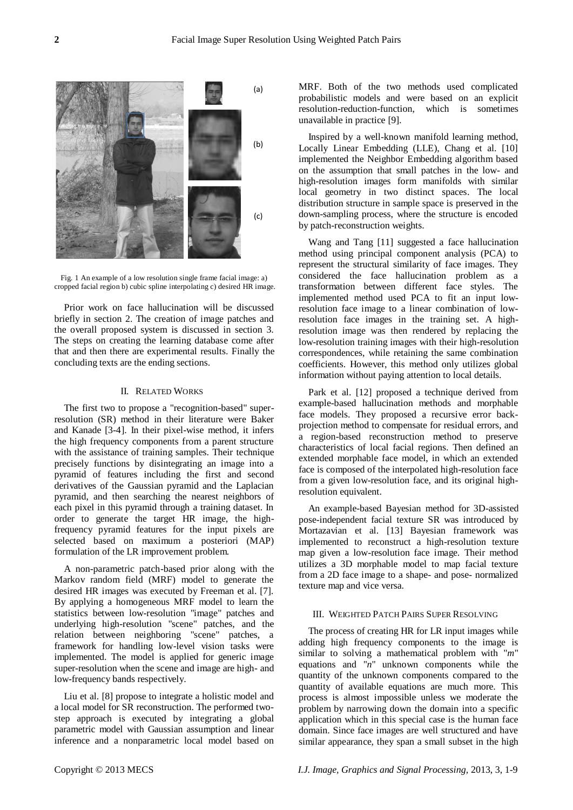

Fig. 1 An example of a low resolution single frame facial image: a) cropped facial region b) cubic spline interpolating c) desired HR image.

Prior work on face hallucination will be discussed briefly in section 2. The creation of image patches and the overall proposed system is discussed in section 3. The steps on creating the learning database come after that and then there are experimental results. Finally the concluding texts are the ending sections.

#### II. RELATED WORKS

The first two to propose a "recognition-based" superresolution (SR) method in their literature were Baker and Kanade [3-4]. In their pixel-wise method, it infers the high frequency components from a parent structure with the assistance of training samples. Their technique precisely functions by disintegrating an image into a pyramid of features including the first and second derivatives of the Gaussian pyramid and the Laplacian pyramid, and then searching the nearest neighbors of each pixel in this pyramid through a training dataset. In order to generate the target HR image, the highfrequency pyramid features for the input pixels are selected based on maximum a posteriori (MAP) formulation of the LR improvement problem.

A non-parametric patch-based prior along with the Markov random field (MRF) model to generate the desired HR images was executed by Freeman et al. [7]. By applying a homogeneous MRF model to learn the statistics between low-resolution "image" patches and underlying high-resolution "scene" patches, and the relation between neighboring "scene" patches, a framework for handling low-level vision tasks were implemented. The model is applied for generic image super-resolution when the scene and image are high- and low-frequency bands respectively.

Liu et al. [8] propose to integrate a holistic model and a local model for SR reconstruction. The performed twostep approach is executed by integrating a global parametric model with Gaussian assumption and linear inference and a nonparametric local model based on

MRF. Both of the two methods used complicated probabilistic models and were based on an explicit resolution-reduction-function, which is sometimes unavailable in practice [9].

Inspired by a well-known manifold learning method, Locally Linear Embedding (LLE), Chang et al. [10] implemented the Neighbor Embedding algorithm based on the assumption that small patches in the low- and high-resolution images form manifolds with similar local geometry in two distinct spaces. The local distribution structure in sample space is preserved in the down-sampling process, where the structure is encoded by patch-reconstruction weights.

Wang and Tang [11] suggested a face hallucination method using principal component analysis (PCA) to represent the structural similarity of face images. They considered the face hallucination problem as a transformation between different face styles. The implemented method used PCA to fit an input lowresolution face image to a linear combination of lowresolution face images in the training set. A highresolution image was then rendered by replacing the low-resolution training images with their high-resolution correspondences, while retaining the same combination coefficients. However, this method only utilizes global information without paying attention to local details.

Park et al. [12] proposed a technique derived from example-based hallucination methods and morphable face models. They proposed a recursive error backprojection method to compensate for residual errors, and a region-based reconstruction method to preserve characteristics of local facial regions. Then defined an extended morphable face model, in which an extended face is composed of the interpolated high-resolution face from a given low-resolution face, and its original highresolution equivalent.

An example-based Bayesian method for 3D-assisted pose-independent facial texture SR was introduced by Mortazavian et al. [13] Bayesian framework was implemented to reconstruct a high-resolution texture map given a low-resolution face image. Their method utilizes a 3D morphable model to map facial texture from a 2D face image to a shape- and pose- normalized texture map and vice versa.

# III. WEIGHTED PATCH PAIRS SUPER RESOLVING

The process of creating HR for LR input images while adding high frequency components to the image is similar to solving a mathematical problem with "*m*" equations and "*n*" unknown components while the quantity of the unknown components compared to the quantity of available equations are much more. This process is almost impossible unless we moderate the problem by narrowing down the domain into a specific application which in this special case is the human face domain. Since face images are well structured and have similar appearance, they span a small subset in the high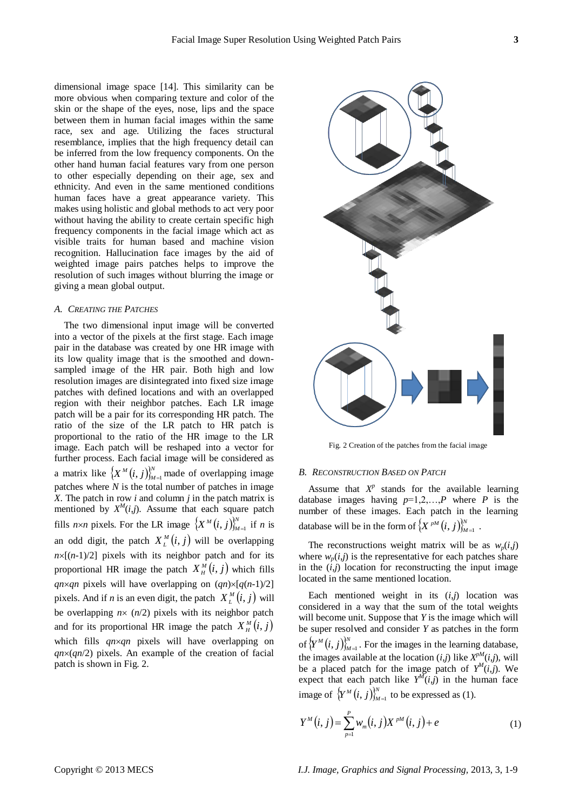dimensional image space [14]. This similarity can be more obvious when comparing texture and color of the skin or the shape of the eyes, nose, lips and the space between them in human facial images within the same race, sex and age. Utilizing the faces structural resemblance, implies that the high frequency detail can be inferred from the low frequency components. On the other hand human facial features vary from one person to other especially depending on their age, sex and ethnicity. And even in the same mentioned conditions human faces have a great appearance variety. This makes using holistic and global methods to act very poor without having the ability to create certain specific high frequency components in the facial image which act as visible traits for human based and machine vision recognition. Hallucination face images by the aid of weighted image pairs patches helps to improve the resolution of such images without blurring the image or giving a mean global output.

#### *A. CREATING THE PATCHES*

The two dimensional input image will be converted into a vector of the pixels at the first stage. Each image pair in the database was created by one HR image with its low quality image that is the smoothed and downsampled image of the HR pair. Both high and low resolution images are disintegrated into fixed size image patches with defined locations and with an overlapped region with their neighbor patches. Each LR image patch will be a pair for its corresponding HR patch. The ratio of the size of the LR patch to HR patch is proportional to the ratio of the HR image to the LR image. Each patch will be reshaped into a vector for further process. Each facial image will be considered as a matrix like  $\{X^M(i,j)\}_{M}^N$  $X^M(i, j)_{M=1}^N$  made of overlapping image patches where *N* is the total number of patches in image *X*. The patch in row *i* and column *j* in the patch matrix is mentioned by  $X^M(i,j)$ . Assume that each square patch fills  $n \times n$  pixels. For the LR image  $\{X^M(i,j)\}_{M}^N$  $X^M(i, j)_{M=1}^N$  if *n* is an odd digit, the patch  $X_L^M(i, j)$  will be overlapping  $n\times[(n-1)/2]$  pixels with its neighbor patch and for its proportional HR image the patch  $X_{H}^{M}(i, j)$  which fills *qn* $\times$ *qn* pixels will have overlapping on  $(qn)\times[q(n-1)/2]$ pixels. And if *n* is an even digit, the patch  $X_L^M(i, j)$  will be overlapping  $n \times (n/2)$  pixels with its neighbor patch and for its proportional HR image the patch  $X_{H}^{M}(i, j)$ which fills *qn*×*qn* pixels will have overlapping on  $qn \times (qn/2)$  pixels. An example of the creation of facial patch is shown in Fig. 2.



Fig. 2 Creation of the patches from the facial image

## *B. RECONSTRUCTION BASED ON PATCH*

Assume that  $X^p$  stands for the available learning database images having  $p=1,2,...,P$  where *P* is the number of these images. Each patch in the learning database will be in the form of  $\{X^{pM}(i,j)\}_{M}^{N}$  $\left(X\right)^{pM}\left(i,j\right)_{M=1}^{N}$ .

The reconstructions weight matrix will be as  $w_p(i,j)$ where  $w_p(i,j)$  is the representative for each patches share in the  $(i,j)$  location for reconstructing the input image located in the same mentioned location.

Each mentioned weight in its  $(i,j)$  location was considered in a way that the sum of the total weights will become unit. Suppose that *Y* is the image which will be super resolved and consider *Y* as patches in the form of  ${Y^M(i,j)}_M^N$  $(Y^M(i, j))_{M=1}^N$ . For the images in the learning database, the images available at the location  $(i,j)$  like  $X^{pM}(i,j)$ , will be a placed patch for the image patch of  $Y^M(i,j)$ . We expect that each patch like  $Y^M(i,j)$  in the human face image of  $\{Y^M(i,j)\}_{M}^N$  $(Y^M(i, j))_{M=1}^N$  to be expressed as (1).

$$
Y^{M}(i, j) = \sum_{p=1}^{P} w_{m}(i, j) X^{pM}(i, j) + e
$$
 (1)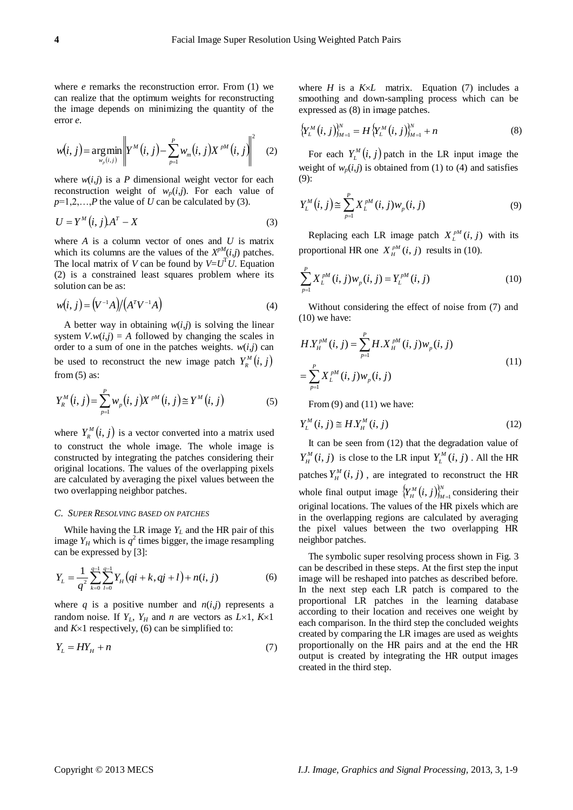where *e* remarks the reconstruction error. From (1) we can realize that the optimum weights for reconstructing the image depends on minimizing the quantity of the error *e*.

$$
w(i, j) = \underset{w_p(i, j)}{\arg\min} \left\| Y^M(i, j) - \sum_{p=1}^P w_m(i, j) X^{pM}(i, j) \right\|^2 \tag{2}
$$

where  $w(i,j)$  is a *P* dimensional weight vector for each reconstruction weight of  $w_p(i,j)$ . For each value of  $p=1,2,\ldots,P$  the value of *U* can be calculated by (3).

$$
U = Y^M(i, j)A^T - X \tag{3}
$$

where *A* is a column vector of ones and *U* is matrix which its columns are the values of the  $X^{pM}(i,j)$  patches. The local matrix of *V* can be found by  $V = U<sup>T</sup>U$ . Equation (2) is a constrained least squares problem where its solution can be as:

$$
w(i, j) = (V^{-1}A)/(A^{T}V^{-1}A)
$$
 (4)

A better way in obtaining  $w(i,j)$  is solving the linear system  $V.w(i,j) = A$  followed by changing the scales in order to a sum of one in the patches weights.  $w(i,j)$  can be used to reconstruct the new image patch  $Y_R^M(i, j)$ from  $(5)$  as:

$$
Y_{R}^{M}(i, j) = \sum_{p=1}^{P} w_{p}(i, j) X^{pM}(i, j) \cong Y^{M}(i, j)
$$
 (5)

where  $Y_R^M(i, j)$  is a vector converted into a matrix used to construct the whole image. The whole image is constructed by integrating the patches considering their original locations. The values of the overlapping pixels are calculated by averaging the pixel values between the two overlapping neighbor patches.

## *C. SUPER RESOLVING BASED ON PATCHES*

While having the LR image  $Y_L$  and the HR pair of this image  $Y_H$  which is  $q^2$  times bigger, the image resampling can be expressed by [3]:

$$
Y_L = \frac{1}{q^2} \sum_{k=0}^{q-1} \sum_{l=0}^{q-1} Y_H \big( qi + k, qj + l \big) + n(i, j) \tag{6}
$$

where *q* is a positive number and  $n(i,j)$  represents a random noise. If  $Y_L$ ,  $Y_H$  and *n* are vectors as  $L \times 1$ ,  $K \times 1$ and  $K \times 1$  respectively, (6) can be simplified to:

$$
Y_L = HY_H + n \tag{7}
$$

where  $H$  is a  $K \times L$  matrix. Equation (7) includes a smoothing and down-sampling process which can be expressed as (8) in image patches.

$$
\left\{ Y_L^M(i,j) \right\}_{M=1}^N = H \left\{ Y_L^M(i,j) \right\}_{M=1}^N + n \tag{8}
$$

For each  $Y_L^M(i, j)$  patch in the LR input image the weight of  $w_p(i,j)$  is obtained from (1) to (4) and satisfies (9):

$$
Y_L^M(i,j) \cong \sum_{p=1}^P X_L^{pM}(i,j) w_p(i,j) \tag{9}
$$

Replacing each LR image patch  $X_L^{pM}(i, j)$  with its proportional HR one  $X_{H}^{pM}(i, j)$  results in (10).

$$
\sum_{p=1}^{P} X_L^{pM}(i,j) w_p(i,j) = Y_L^{pM}(i,j)
$$
\n(10)

Without considering the effect of noise from (7) and  $(10)$  we have:

$$
H.Y_H^{pM}(i, j) = \sum_{p=1}^{P} H.X_H^{pM}(i, j) w_p(i, j)
$$
  
= 
$$
\sum_{p=1}^{P} X_L^{pM}(i, j) w_p(i, j)
$$
 (11)

From (9) and (11) we have:

$$
Y_L^M(i,j) \cong H.Y_H^M(i,j) \tag{12}
$$

It can be seen from (12) that the degradation value of  $Y_H^M(i, j)$  is close to the LR input  $Y_L^M(i, j)$ . All the HR patches  $Y_H^M(i, j)$ , are integrated to reconstruct the HR whole final output image  ${Y_H^M(i,j)}_M^N$  $\left[Y_{H}^{M}(i,j)\right]_{M=1}^{N}$  considering their original locations. The values of the HR pixels which are in the overlapping regions are calculated by averaging the pixel values between the two overlapping HR neighbor patches.

The symbolic super resolving process shown in Fig. 3 can be described in these steps. At the first step the input image will be reshaped into patches as described before. In the next step each LR patch is compared to the proportional LR patches in the learning database according to their location and receives one weight by each comparison. In the third step the concluded weights created by comparing the LR images are used as weights proportionally on the HR pairs and at the end the HR output is created by integrating the HR output images created in the third step.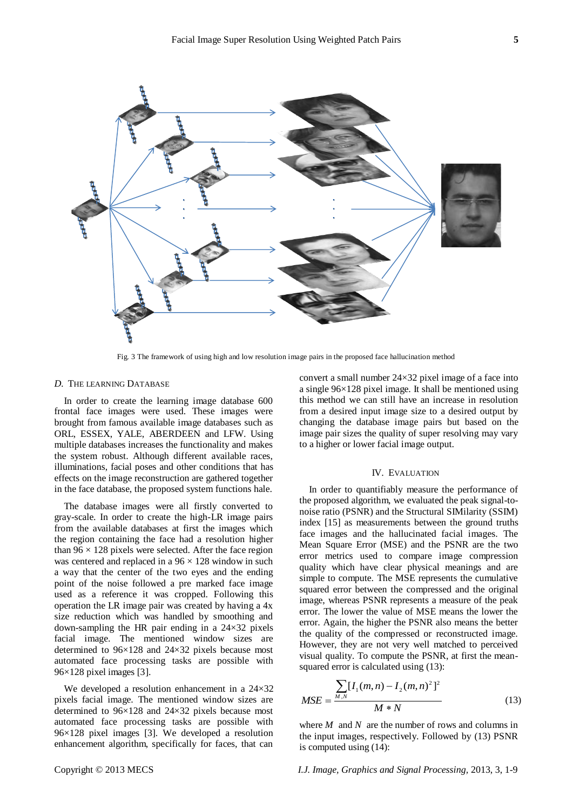

Fig. 3 The framework of using high and low resolution image pairs in the proposed face hallucination method

# *D.* THE LEARNING DATABASE

In order to create the learning image database 600 frontal face images were used. These images were brought from famous available image databases such as ORL, ESSEX, YALE, ABERDEEN and LFW. Using multiple databases increases the functionality and makes the system robust. Although different available races, illuminations, facial poses and other conditions that has effects on the image reconstruction are gathered together in the face database, the proposed system functions hale.

The database images were all firstly converted to gray-scale. In order to create the high-LR image pairs from the available databases at first the images which the region containing the face had a resolution higher than  $96 \times 128$  pixels were selected. After the face region was centered and replaced in a  $96 \times 128$  window in such a way that the center of the two eyes and the ending point of the noise followed a pre marked face image used as a reference it was cropped. Following this operation the LR image pair was created by having a 4x size reduction which was handled by smoothing and down-sampling the HR pair ending in a  $24\times32$  pixels facial image. The mentioned window sizes are determined to 96×128 and 24×32 pixels because most automated face processing tasks are possible with 96×128 pixel images [3].

We developed a resolution enhancement in a  $24\times32$ pixels facial image. The mentioned window sizes are determined to 96×128 and 24×32 pixels because most automated face processing tasks are possible with 96×128 pixel images [3]. We developed a resolution enhancement algorithm, specifically for faces, that can convert a small number  $24 \times 32$  pixel image of a face into a single 96×128 pixel image. It shall be mentioned using this method we can still have an increase in resolution from a desired input image size to a desired output by changing the database image pairs but based on the image pair sizes the quality of super resolving may vary to a higher or lower facial image output.

## IV. EVALUATION

In order to quantifiably measure the performance of the proposed algorithm, we evaluated the peak signal-tonoise ratio (PSNR) and the Structural SIMilarity (SSIM) index [15] as measurements between the ground truths face images and the hallucinated facial images. The Mean Square Error (MSE) and the PSNR are the two error metrics used to compare image compression quality which have clear physical meanings and are simple to compute. The MSE represents the cumulative squared error between the compressed and the original image, whereas PSNR represents a measure of the peak error. The lower the value of MSE means the lower the error. Again, the higher the PSNR also means the better the quality of the compressed or reconstructed image. However, they are not very well matched to perceived visual quality. To compute the PSNR, at first the meansquared error is calculated using (13):

$$
MSE = \frac{\sum_{M,N} [I_1(m,n) - I_2(m,n)^2]^2}{M*N}
$$
 (13)

where *M* and *N* are the number of rows and columns in the input images, respectively. Followed by (13) PSNR is computed using (14):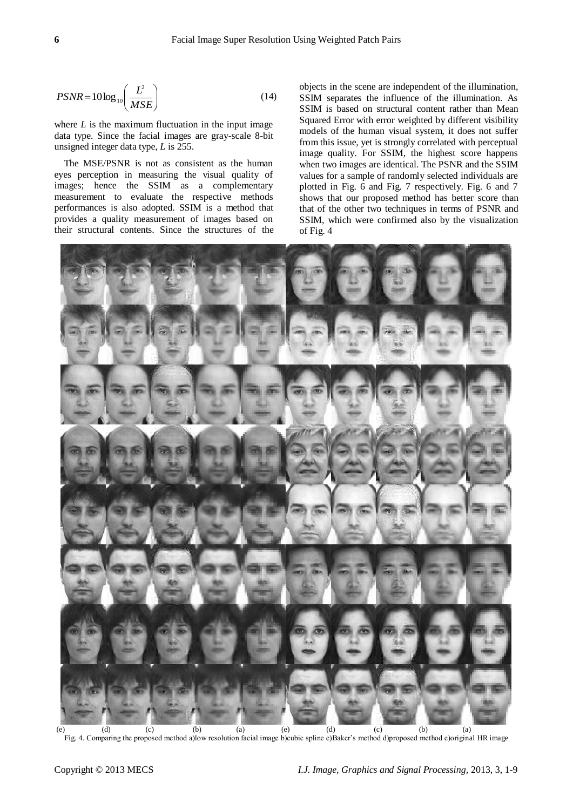$$
PSNR = 10 \log_{10} \left( \frac{L^2}{MSE} \right) \tag{14}
$$

where  $L$  is the maximum fluctuation in the input image data type. Since the facial images are gray-scale 8-bit unsigned integer data type, *L* is 255.

The MSE/PSNR is not as consistent as the human eyes perception in measuring the visual quality of images; hence the SSIM as a complementary measurement to evaluate the respective methods performances is also adopted. SSIM is a method that provides a quality measurement of images based on their structural contents. Since the structures of the objects in the scene are independent of the illumination, SSIM separates the influence of the illumination. As SSIM is based on structural content rather than Mean Squared Error with error weighted by different visibility models of the human visual system, it does not suffer from this issue, yet is strongly correlated with perceptual image quality. For SSIM, the highest score happens when two images are identical. The PSNR and the SSIM values for a sample of randomly selected individuals are plotted in Fig. 6 and Fig. 7 respectively. Fig. 6 and 7 shows that our proposed method has better score than that of the other two techniques in terms of PSNR and SSIM, which were confirmed also by the visualization of Fig. 4



Fig. 4. Comparing the proposed method a)low resolution facial image b)cubic spline c)Baker's method d)proposed method e)original HR image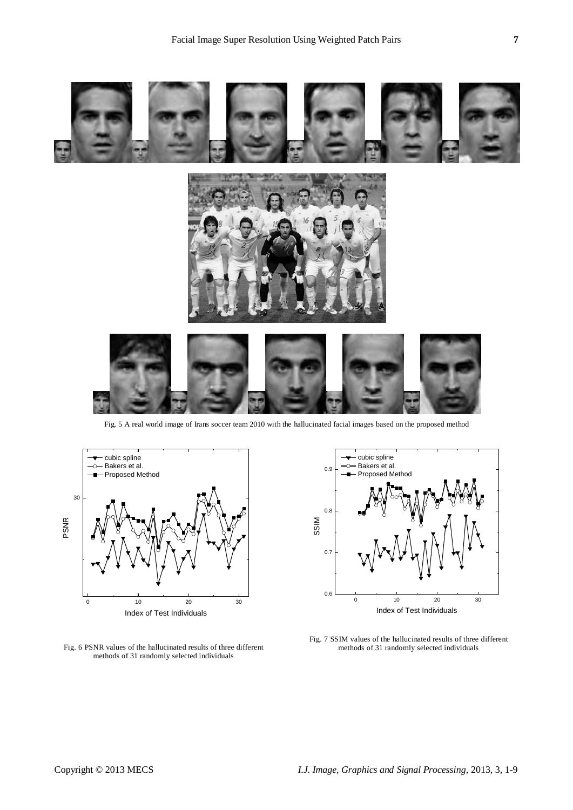



Fig. 6 PSNR values of the hallucinated results of three different methods of 31 randomly selected individuals



Fig. 7 SSIM values of the hallucinated results of three different methods of 31 randomly selected individuals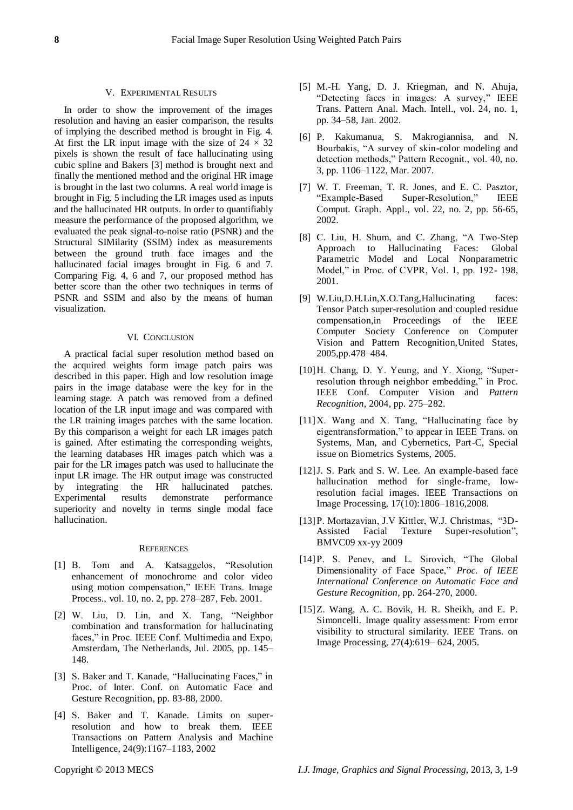# V. EXPERIMENTAL RESULTS

In order to show the improvement of the images resolution and having an easier comparison, the results of implying the described method is brought in Fig. 4. At first the LR input image with the size of  $24 \times 32$ pixels is shown the result of face hallucinating using cubic spline and Bakers [3] method is brought next and finally the mentioned method and the original HR image is brought in the last two columns. A real world image is brought in Fig. 5 including the LR images used as inputs and the hallucinated HR outputs. In order to quantifiably measure the performance of the proposed algorithm, we evaluated the peak signal-to-noise ratio (PSNR) and the Structural SIMilarity (SSIM) index as measurements between the ground truth face images and the hallucinated facial images brought in Fig. 6 and 7. Comparing Fig. 4, 6 and 7, our proposed method has better score than the other two techniques in terms of PSNR and SSIM and also by the means of human visualization.

## VI. CONCLUSION

A practical facial super resolution method based on the acquired weights form image patch pairs was described in this paper. High and low resolution image pairs in the image database were the key for in the learning stage. A patch was removed from a defined location of the LR input image and was compared with the LR training images patches with the same location. By this comparison a weight for each LR images patch is gained. After estimating the corresponding weights, the learning databases HR images patch which was a pair for the LR images patch was used to hallucinate the input LR image. The HR output image was constructed by integrating the HR hallucinated patches. Experimental results demonstrate performance superiority and novelty in terms single modal face hallucination.

#### **REFERENCES**

- [1] B. Tom and A. Katsaggelos, "Resolution enhancement of monochrome and color video using motion compensation," IEEE Trans. Image Process., vol. 10, no. 2, pp. 278–287, Feb. 2001.
- $[2]$  W. Liu, D. Lin, and X. Tang, "Neighbor combination and transformation for hallucinating faces," in Proc. IEEE Conf. Multimedia and Expo, Amsterdam, The Netherlands, Jul. 2005, pp. 145– 148.
- [3] S. Baker and T. Kanade, "Hallucinating Faces," in Proc. of Inter. Conf. on Automatic Face and Gesture Recognition, pp. 83-88, 2000.
- [4] S. Baker and T. Kanade. Limits on superresolution and how to break them. IEEE Transactions on Pattern Analysis and Machine Intelligence, 24(9):1167–1183, 2002
- [5] M.-H. Yang, D. J. Kriegman, and N. Ahuja, "Detecting faces in images: A survey," IEEE Trans. Pattern Anal. Mach. Intell., vol. 24, no. 1, pp. 34–58, Jan. 2002.
- [6] P. Kakumanua, S. Makrogiannisa, and N. Bourbakis, "A survey of skin-color modeling and detection methods," Pattern Recognit., vol. 40, no. 3, pp. 1106–1122, Mar. 2007.
- [7] W. T. Freeman, T. R. Jones, and E. C. Pasztor, "Example-Based Super-Resolution," IEEE Comput. Graph. Appl., vol. 22, no. 2, pp. 56-65, 2002.
- [8] C. Liu, H. Shum, and C. Zhang, "A Two-Step Approach to Hallucinating Faces: Global Parametric Model and Local Nonparametric Model," in Proc. of CVPR, Vol. 1, pp. 192- 198, 2001.
- [9] W.Liu,D.H.Lin,X.O.Tang,Hallucinating faces: Tensor Patch super-resolution and coupled residue compensation,in Proceedings of the IEEE Computer Society Conference on Computer Vision and Pattern Recognition,United States, 2005,pp.478–484.
- $[10]$  H. Chang, D. Y. Yeung, and Y. Xiong, "Superresolution through neighbor embedding," in Proc. IEEE Conf. Computer Vision and *Pattern Recognition*, 2004, pp. 275–282.
- $[11]X$ . Wang and X. Tang, "Hallucinating face by eigentransformation," to appear in IEEE Trans. on Systems, Man, and Cybernetics, Part-C, Special issue on Biometrics Systems, 2005.
- [12] J. S. Park and S. W. Lee. An example-based face hallucination method for single-frame, lowresolution facial images. IEEE Transactions on Image Processing, 17(10):1806–1816,2008.
- [13] P. Mortazavian, J.V Kittler, W.J. Christmas, "3D-Assisted Facial Texture Super-resolution", BMVC09 xx-yy 2009
- [14] P. S. Penev, and L. Sirovich, "The Global Dimensionality of Face Space," Proc. of IEEE *International Conference on Automatic Face and Gesture Recognition,* pp. 264-270, 2000.
- [15]Z. Wang, A. C. Bovik, H. R. Sheikh, and E. P. Simoncelli. Image quality assessment: From error visibility to structural similarity. IEEE Trans. on Image Processing, 27(4):619– 624, 2005.